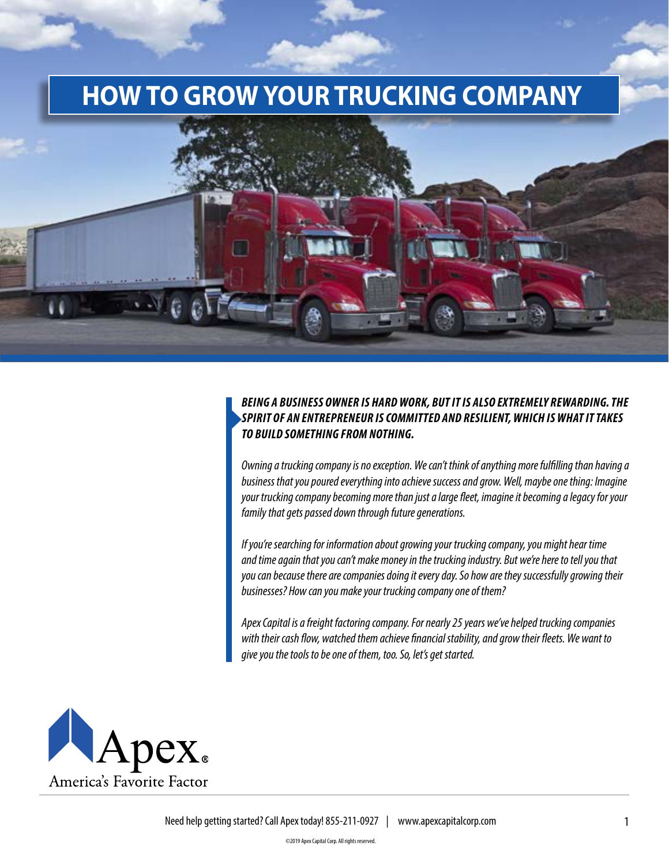# **HOW TO GROW YOUR TRUCKING COMPANY**



#### *BEING A BUSINESS OWNER IS HARD WORK, BUT IT IS ALSO EXTREMELY REWARDING. THE SPIRIT OF AN ENTREPRENEUR IS COMMITTED AND RESILIENT, WHICH IS WHAT IT TAKES TO BUILD SOMETHING FROM NOTHING.*

*Owning a trucking company is no exception. We can't think of anything more fulfilling than having a business that you poured everything into achieve success and grow. Well, maybe one thing: Imagine your trucking company becoming more than just a large fleet, imagine it becoming a legacy for your family that gets passed down through future generations.* 

*If you're searching for information about growing your trucking company, you might hear time and time again that you can't make money in the trucking industry. But we're here to tell you that you can because there are companies doing it every day. So how are they successfully growing their businesses? How can you make your trucking company one of them?* 

*Apex Capital is a freight factoring company. For nearly 25 years we've helped trucking companies with their cash flow, watched them achieve financial stability, and grow their fleets. We want to give you the tools to be one of them, too. So, let's get started.* 



Need help getting started? Call Apex today! 855-211-0927 | www.apexcapitalcorp.com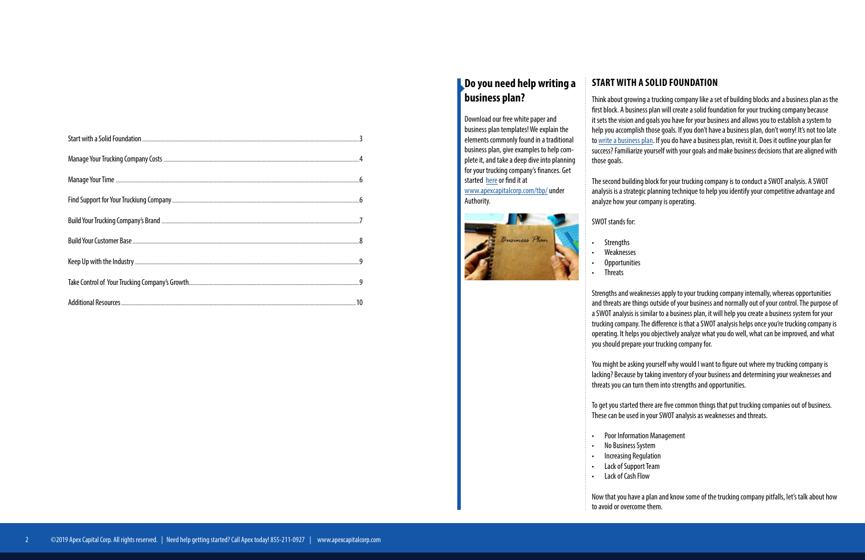| Manage Your Time <b>come contract to the contract of the contract of the contract of the contract of the contract of the contract of the contract of the contract of the contract of the contract of the contract of the contrac</b>         |  |
|----------------------------------------------------------------------------------------------------------------------------------------------------------------------------------------------------------------------------------------------|--|
|                                                                                                                                                                                                                                              |  |
| Build Your Trucking Company's Brand <b>[1974]</b> The Company's Brand <b>[2016]</b> The Company of Build Your Trucking Company's Brand <b>[2016]</b> The Communication Communication Communication Communication Communication Communication |  |
|                                                                                                                                                                                                                                              |  |
|                                                                                                                                                                                                                                              |  |
|                                                                                                                                                                                                                                              |  |
|                                                                                                                                                                                                                                              |  |

# **START WITH A SOLID FOUNDATION**

Think about growing a trucking company like a set of building blocks and a business plan as the first block. A business plan will create a solid foundation for your trucking company because it sets the vision and goals you have for your business and allows you to establish a system to help you accomplish those goals. If you don't have a business plan, don't worry! It's not too late to [write a business plan.](https://www.apexcapitalcorp.com/whitepaper/trucking-business-plan/) If you do have a business plan, revisit it. Does it outline your plan for success? Familiarize yourself with your goals and make business decisions that are aligned with those goals.

The second building block for your trucking company is to conduct a SWOT analysis. A SWOT analysis is a strategic planning technique to help you identify your competitive advantage and analyze how your company is operating.

SWOT stands for:

- **Strengths**
- Weaknesses **Opportunities**
- **Threats**

Strengths and weaknesses apply to your trucking company internally, whereas opportunities and threats are things outside of your business and normally out of your control. The purpose of a SWOT analysis is similar to a business plan, it will help you create a business system for your trucking company. The difference is that a SWOT analysis helps once you're trucking company is operating. It helps you objectively analyze what you do well, what can be improved, and what you should prepare your trucking company for.

You might be asking yourself why would I want to figure out where my trucking company is lacking? Because by taking inventory of your business and determining your weaknesses and threats you can turn them into strengths and opportunities.

To get you started there are five common things that put trucking companies out of business. These can be used in your SWOT analysis as weaknesses and threats.

• Poor Information Management

- 
- No Business System
- Increasing Regulation
- Lack of Support Team
- 
- 
- 
- Lack of Cash Flow

Now that you have a plan and know some of the trucking company pitfalls, let's talk about how to avoid or overcome them.

### **Do you need help writing a business plan?**

Download our free white paper and business plan templates! We explain the elements commonly found in a traditional business plan, give examples to help complete it, and take a deep dive into planning for your trucking company's finances. Get started [here](https://www.apexcapitalcorp.com/whitepaper/trucking-business-plan/) or find it at

[www.apexcapitalcorp.com/tbp/](http://www.apexcapitalcorp.com/tbp/) under Authority.

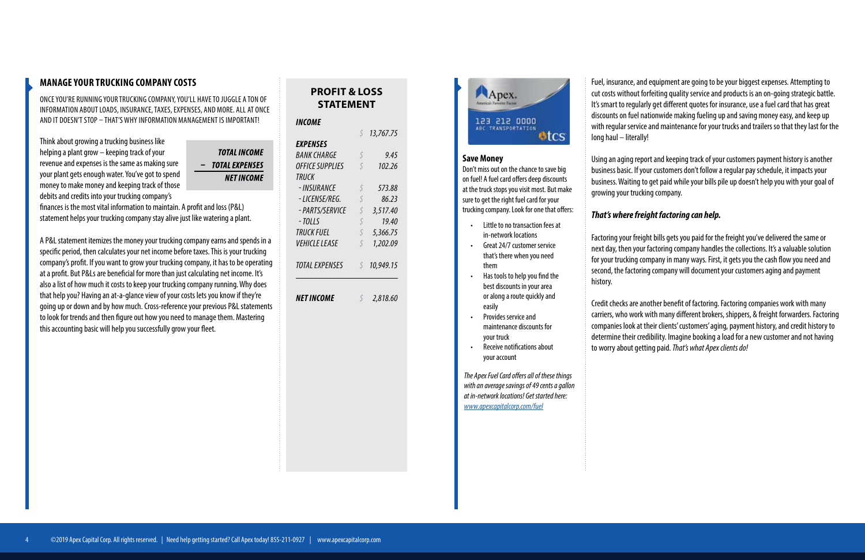### **MANAGE YOUR TRUCKING COMPANY COSTS**

ONCE YOU'RE RUNNING YOUR TRUCKING COMPANY, YOU'LL HAVE TO JUGGLE A TON OF INFORMATION ABOUT LOADS, INSURANCE, TAXES, EXPENSES, AND MORE. ALL AT ONCE AND IT DOESN'T STOP – THAT'S WHY INFORMATION MANAGEMENT IS IMPORTANT!

Think about growing a trucking business like helping a plant grow – keeping track of your revenue and expenses is the same as making sure your plant gets enough water. You've got to spend money to make money and keeping track of those debits and credits into your trucking company's

**TOTAL INCOME** - TOTAL EXPENSES **NET INCOME** 

finances is the most vital information to maintain. A profit and loss (P&L) statement helps your trucking company stay alive just like watering a plant.

A P&L statement itemizes the money your trucking company earns and spends in a specific period, then calculates your net income before taxes. This is your trucking company's profit. If you want to grow your trucking company, it has to be operating at a profit. But P&Ls are beneficial for more than just calculating net income. It's also a list of how much it costs to keep your trucking company running. Why does that help you? Having an at-a-glance view of your costs lets you know if they're going up or down and by how much. Cross-reference your previous P&L statements to look for trends and then figure out how you need to manage them. Mastering this accounting basic will help you successfully grow your fleet.

# **PROFIT & LOSS STATEMENT**

#### *INCOME*

|                        | $\varsigma$ | 13,767.75 |
|------------------------|-------------|-----------|
| EXPENSES               |             |           |
| BANK CHARGE            | Ś           | 9.45      |
| <b>OFFICE SUPPLIES</b> | Ś           | 102.26    |
| TRUCK                  |             |           |
| - INSURANCE            | Ś           | 573.88    |
| - LICENSE/REG.         | Ś           | 86.23     |
| - PARTS/SERVICE        | Ś           | 3,517.40  |
| - TOLLS                | Ś           | 19.40     |
| TRUCK FUEL             | Ś           | 5,366.75  |
| <i>VEHICLE LEASE</i>   | Ś           | 1,202.09  |
| <b>TOTAL EXPENSES</b>  | Ś           | 10,949.15 |
| <b>NET INCOME</b>      |             | 2,818.60  |



Fuel, insurance, and equipment are going to be your biggest expenses. Attempting to cut costs without forfeiting quality service and products is an on-going strategic battle. It's smart to regularly get different quotes for insurance, use a fuel card that has great discounts on fuel nationwide making fueling up and saving money easy, and keep up with regular service and maintenance for your trucks and trailers so that they last for the long haul – literally!

Using an aging report and keeping track of your customers payment history is another business basic. If your customers don't follow a regular pay schedule, it impacts your business. Waiting to get paid while your bills pile up doesn't help you with your goal of growing your trucking company.

### *That's where freight factoring can help.*

Factoring your freight bills gets you paid for the freight you've delivered the same or next day, then your factoring company handles the collections. It's a valuable solution for your trucking company in many ways. First, it gets you the cash flow you need and second, the factoring company will document your customers aging and payment history.

Credit checks are another benefit of factoring. Factoring companies work with many carriers, who work with many different brokers, shippers, & freight forwarders. Factoring companies look at their clients' customers' aging, payment history, and credit history to determine their credibility. Imagine booking a load for a new customer and not having to worry about getting paid. *That's what Apex clients do!* 

- Little to no transaction fees at in-network locations
- Great 24/7 customer service that's there when you need them
- Has tools to help you find the best discounts in your area or along a route quickly and easily
- Provides service and maintenance discounts for your truck
- Receive notifications about your account

#### **Save Money**

Don't miss out on the chance to save big on fuel! A fuel card offers deep discounts at the truck stops you visit most. But make sure to get the right fuel card for your trucking company. Look for one that offers:

*The Apex Fuel Card offers all of these things with an average savings of 49 cents a gallon at in-network locations! Get started here: [www.apexcapitalcorp.com/fuel](https://www.apexcapitalcorp.com/fuel/)*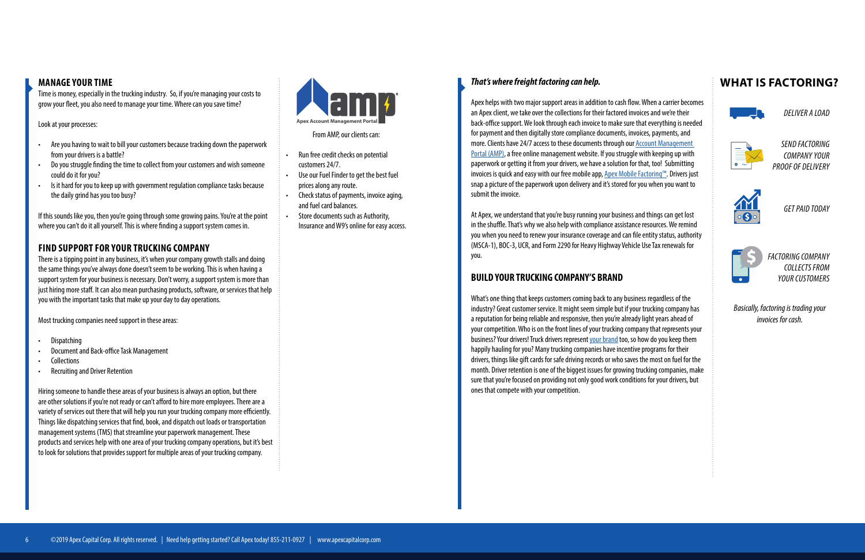#### **MANAGE YOUR TIME**

Time is money, especially in the trucking industry. So, if you're managing your costs to grow your fleet, you also need to manage your time. Where can you save time?

Look at your processes:

If this sounds like you, then you're going through some growing pains. You're at the point where you can't do it all yourself. This is where finding a support system comes in.

- Are you having to wait to bill your customers because tracking down the paperwork from your drivers is a battle?
- Do you struggle finding the time to collect from your customers and wish someone could do it for you?
- Is it hard for you to keep up with government regulation compliance tasks because the daily grind has you too busy?

### **FIND SUPPORT FOR YOUR TRUCKING COMPANY**

There is a tipping point in any business, it's when your company growth stalls and doing the same things you've always done doesn't seem to be working. This is when having a support system for your business is necessary. Don't worry, a support system is more than just hiring more staff. It can also mean purchasing products, software, or services that help you with the important tasks that make up your day to day operations.

Most trucking companies need support in these areas:

- Dispatching
- Document and Back-office Task Management
- Collections
- Recruiting and Driver Retention

Hiring someone to handle these areas of your business is always an option, but there are other solutions if you're not ready or can't afford to hire more employees. There are a variety of services out there that will help you run your trucking company more efficiently. Things like dispatching services that find, book, and dispatch out loads or transportation management systems (TMS) that streamline your paperwork management. These products and services help with one area of your trucking company operations, but it's best to look for solutions that provides support for multiple areas of your trucking company.

From AMP, our clients can:

- Run free credit checks on potential customers 24/7.
- Use our Fuel Finder to get the best fuel prices along any route.
- Check status of payments, invoice aging, and fuel card balances.
- Store documents such as Authority, Insurance and W9's online for easy access.



#### *That's where freight factoring can help.*

Apex helps with two major support areas in addition to cash flow. When a carrier becomes an Apex client, we take over the collections for their factored invoices and we're their back-office support. We look through each invoice to make sure that everything is needed for payment and then digitally store compliance documents, invoices, payments, and more. Clients have 24/7 access to these documents through our [Account Management](https://www.apexcapitalcorp.com/tools/amp/)  [Portal \(AMP\)](https://www.apexcapitalcorp.com/tools/amp/), a free online management website. If you struggle with keeping up with paperwork or getting it from your drivers, we have a solution for that, too! Submitting invoices is quick and easy with our free mobile app, [Apex Mobile Factoring™](https://www.apexcapitalcorp.com/tools/mobile-factoring/). Drivers just snap a picture of the paperwork upon delivery and it's stored for you when you want to submit the invoice.

At Apex, we understand that you're busy running your business and things can get lost in the shuffle. That's why we also help with compliance assistance resources. We remind you when you need to renew your insurance coverage and can file entity status, authority (MSCA-1), BOC-3, UCR, and Form 2290 for Heavy Highway Vehicle Use Tax renewals for you.

### **BUILD YOUR TRUCKING COMPANY'S BRAND**

What's one thing that keeps customers coming back to any business regardless of the industry? Great customer service. It might seem simple but if your trucking company has a reputation for being reliable and responsive, then you're already light years ahead of your competition. Who is on the front lines of your trucking company that represents your business? Your drivers! Truck drivers represent [your brand](https://www.apexcapitalcorp.com/blog/market-your-trucking-company-by-building-your-brand/) too, so how do you keep them happily hauling for you? Many trucking companies have incentive programs for their drivers, things like gift cards for safe driving records or who saves the most on fuel for the month. Driver retention is one of the biggest issues for growing trucking companies, make sure that you're focused on providing not only good work conditions for your drivers, but ones that compete with your competition.

# **WHAT IS FACTORING?**



*DELIVER A LOAD*



*SEND FACTORING COMPANY YOUR PROOF OF DELIVERY*



*GET PAID TODAY*



*FACTORING COMPANY COLLECTS FROM YOUR CUSTOMERS*

*Basically, factoring is trading your invoices for cash.*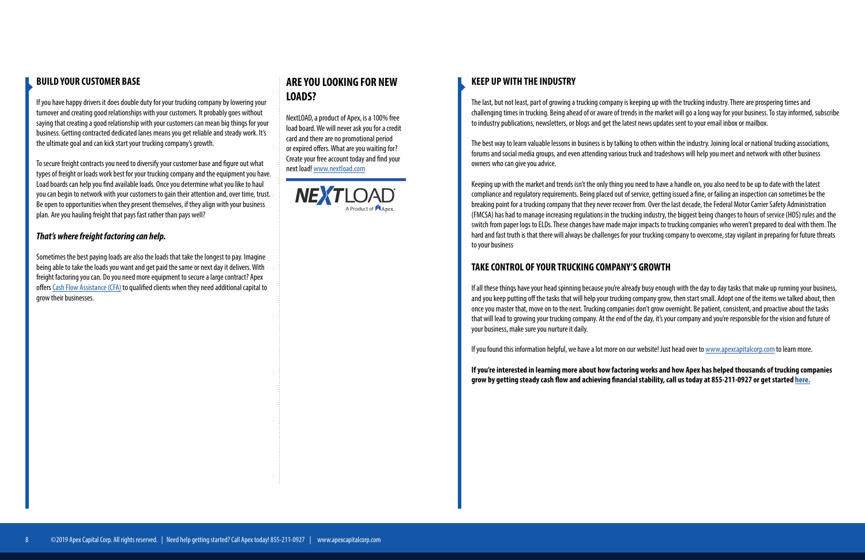### **BUILD YOUR CUSTOMER BASE**

If you have happy drivers it does double duty for your trucking company by lowering your turnover and creating good relationships with your customers. It probably goes without saying that creating a good relationship with your customers can mean big things for your business. Getting contracted dedicated lanes means you get reliable and steady work. It's the ultimate goal and can kick start your trucking company's growth.

To secure freight contracts you need to diversify your customer base and figure out what types of freight or loads work best for your trucking company and the equipment you have. Load boards can help you find available loads. Once you determine what you like to haul you can begin to network with your customers to gain their attention and, over time, trust. Be open to opportunities when they present themselves, if they align with your business plan. Are you hauling freight that pays fast rather than pays well?

#### *That's where freight factoring can help.*

Sometimes the best paying loads are also the loads that take the longest to pay. Imagine being able to take the loads you want and get paid the same or next day it delivers. With freight factoring you can. Do you need more equipment to secure a large contract? Apex offers [Cash Flow Assistance \(CFA\)](https://www.apexcapitalcorp.com/tools/cash-flow-assistance/) to qualified clients when they need additional capital to grow their businesses.

# **ARE YOU LOOKING FOR NEW LOADS?**

NextLOAD, a product of Apex, is a 100% free load board. We will never ask you for a credit card and there are no promotional period or expired offers. What are you waiting for? Create your free account today and find your next load! [www.nextload.com](https://www.nextload.com/)



#### **KEEP UP WITH THE INDUSTRY**

The last, but not least, part of growing a trucking company is keeping up with the trucking industry. There are prospering times and challenging times in trucking. Being ahead of or aware of trends in the market will go a long way for your business. To stay informed, subscribe to industry publications, newsletters, or blogs and get the latest news updates sent to your email inbox or mailbox.

The best way to learn valuable lessons in business is by talking to others within the industry. Joining local or national trucking associations, forums and social media groups, and even attending various truck and tradeshows will help you meet and network with other business owners who can give you advice.

Keeping up with the market and trends isn't the only thing you need to have a handle on, you also need to be up to date with the latest compliance and regulatory requirements. Being placed out of service, getting issued a fine, or failing an inspection can sometimes be the breaking point for a trucking company that they never recover from. Over the last decade, the Federal Motor Carrier Safety Administration (FMCSA) has had to manage increasing regulations in the trucking industry, the biggest being changes to hours of service (HOS) rules and the switch from paper logs to ELDs. These changes have made major impacts to trucking companies who weren't prepared to deal with them. The hard and fast truth is that there will always be challenges for your trucking company to overcome, stay vigilant in preparing for future threats to your business

### **TAKE CONTROL OF YOUR TRUCKING COMPANY'S GROWTH**

If all these things have your head spinning because you're already busy enough with the day to day tasks that make up running your business, and you keep putting off the tasks that will help your trucking company grow, then start small. Adopt one of the items we talked about, then once you master that, move on to the next. Trucking companies don't grow overnight. Be patient, consistent, and proactive about the tasks that will lead to growing your trucking company. At the end of the day, it's your company and you're responsible for the vision and future of your business, make sure you nurture it daily.

If you found this information helpful, we have a lot more on our website! Just head over to [www.apexcapitalcorp.com](http://www.apexcapitalcorp.com) to learn more.

**If you're interested in learning more about how factoring works and how Apex has helped thousands of trucking companies grow by getting steady cash flow and achieving financial stability, call us today at 855-211-0927 or get started [here.](https://www.apexcapitalcorp.com/apply/)**